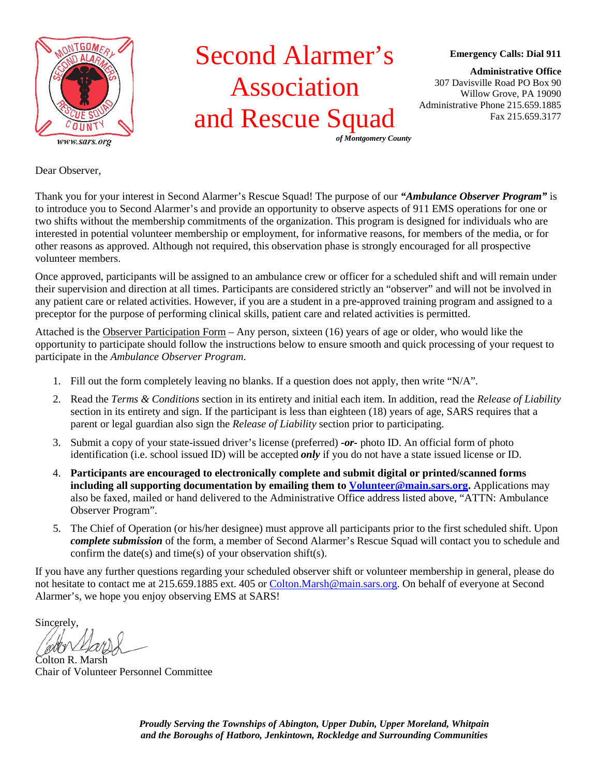

# Second Alarmer's Association and Rescue Squad

**Emergency Calls: Dial 911**

**Administrative Office** 307 Davisville Road PO Box 90 Willow Grove, PA 19090 Administrative Phone 215.659.1885 Fax 215.659.3177

*of Montgomery County*

Dear Observer,

Thank you for your interest in Second Alarmer's Rescue Squad! The purpose of our *"Ambulance Observer Program"* is to introduce you to Second Alarmer's and provide an opportunity to observe aspects of 911 EMS operations for one or two shifts without the membership commitments of the organization. This program is designed for individuals who are interested in potential volunteer membership or employment, for informative reasons, for members of the media, or for other reasons as approved. Although not required, this observation phase is strongly encouraged for all prospective volunteer members.

Once approved, participants will be assigned to an ambulance crew or officer for a scheduled shift and will remain under their supervision and direction at all times. Participants are considered strictly an "observer" and will not be involved in any patient care or related activities. However, if you are a student in a pre-approved training program and assigned to a preceptor for the purpose of performing clinical skills, patient care and related activities is permitted.

Attached is the Observer Participation Form – Any person, sixteen (16) years of age or older, who would like the opportunity to participate should follow the instructions below to ensure smooth and quick processing of your request to participate in the *Ambulance Observer Program*.

- 1. Fill out the form completely leaving no blanks. If a question does not apply, then write "N/A".
- 2. Read the *Terms & Conditions* section in its entirety and initial each item. In addition, read the *Release of Liability* section in its entirety and sign. If the participant is less than eighteen (18) years of age, SARS requires that a parent or legal guardian also sign the *Release of Liability* section prior to participating.
- 3. Submit a copy of your state-issued driver's license (preferred) *-or-* photo ID. An official form of photo identification (i.e. school issued ID) will be accepted *only* if you do not have a state issued license or ID.
- 4. **Participants are encouraged to electronically complete and submit digital or printed/scanned forms including all supporting documentation by emailing them to [Volunteer@main.sars.org.](mailto:Volunteer@main.sars.org?subject=Volunteer%20Membership%20Application)** Applications may also be faxed, mailed or hand delivered to the Administrative Office address listed above, "ATTN: Ambulance Observer Program".
- 5. The Chief of Operation (or his/her designee) must approve all participants prior to the first scheduled shift. Upon *complete submission* of the form, a member of Second Alarmer's Rescue Squad will contact you to schedule and confirm the date(s) and time(s) of your observation shift(s).

If you have any further questions regarding your scheduled observer shift or volunteer membership in general, please do not hesitate to contact me at 215.659.1885 ext. 405 or [Colton.Marsh@main.sars.org.](mailto:Colton.Marsh@main.sars.org?subject=Volunteer%20Membership%20Question) On behalf of everyone at Second Alarmer's, we hope you enjoy observing EMS at SARS!

Sincerely,

Colton R. Marsh

Chair of Volunteer Personnel Committee

*Proudly Serving the Townships of Abington, Upper Dubin, Upper Moreland, Whitpain and the Boroughs of Hatboro, Jenkintown, Rockledge and Surrounding Communities*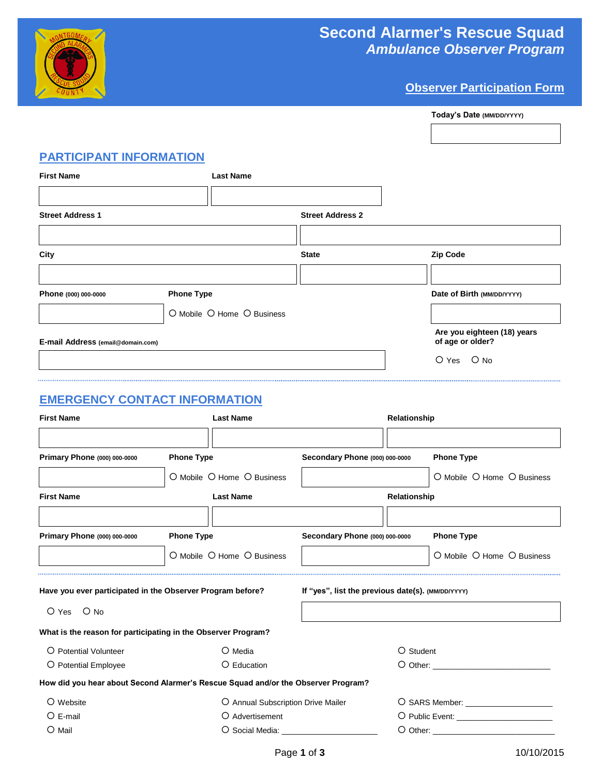

# **Second Alarmer's Rescue Squad**  *Ambulance Observer Program*

### **Observer Participation Form**

**Today's Date (MM/DD/YYYY)**

#### **PARTICIPANT INFORMATION**

| <b>First Name</b>                 | <b>Last Name</b>           |                         |                                                 |
|-----------------------------------|----------------------------|-------------------------|-------------------------------------------------|
|                                   |                            |                         |                                                 |
| <b>Street Address 1</b>           |                            | <b>Street Address 2</b> |                                                 |
|                                   |                            |                         |                                                 |
| City                              |                            | <b>State</b>            | <b>Zip Code</b>                                 |
|                                   |                            |                         |                                                 |
| Phone (000) 000-0000              | <b>Phone Type</b>          |                         | Date of Birth (MM/DD/YYYY)                      |
|                                   | O Mobile O Home O Business |                         |                                                 |
| E-mail Address (email@domain.com) |                            |                         | Are you eighteen (18) years<br>of age or older? |
|                                   |                            |                         | O Yes O No                                      |

## **EMERGENCY CONTACT INFORMATION**

| <b>First Name</b>                                             | <b>Last Name</b>                                                                  |                                                   | Relationship        |                                          |
|---------------------------------------------------------------|-----------------------------------------------------------------------------------|---------------------------------------------------|---------------------|------------------------------------------|
|                                                               |                                                                                   |                                                   |                     |                                          |
| Primary Phone (000) 000-0000                                  | <b>Phone Type</b>                                                                 | Secondary Phone (000) 000-0000                    |                     | <b>Phone Type</b>                        |
|                                                               | O Mobile O Home O Business                                                        |                                                   |                     | O Mobile O Home O Business               |
| <b>First Name</b>                                             | <b>Last Name</b>                                                                  |                                                   | Relationship        |                                          |
|                                                               |                                                                                   |                                                   |                     |                                          |
| Primary Phone (000) 000-0000                                  | <b>Phone Type</b>                                                                 | Secondary Phone (000) 000-0000                    |                     | <b>Phone Type</b>                        |
|                                                               | O Mobile O Home O Business                                                        |                                                   |                     | O Mobile O Home O Business               |
| Have you ever participated in the Observer Program before?    |                                                                                   | If "yes", list the previous date(s). (MM/DD/YYYY) |                     |                                          |
| O Yes O No                                                    |                                                                                   |                                                   |                     |                                          |
| What is the reason for participating in the Observer Program? |                                                                                   |                                                   |                     |                                          |
| O Potential Volunteer                                         | $O$ Media                                                                         |                                                   | O Student           |                                          |
| O Potential Employee                                          | O Education                                                                       |                                                   |                     |                                          |
|                                                               | How did you hear about Second Alarmer's Rescue Squad and/or the Observer Program? |                                                   |                     |                                          |
| O Website                                                     | O Annual Subscription Drive Mailer                                                |                                                   | O SARS Member: 2008 |                                          |
| $O$ E-mail                                                    | O Advertisement                                                                   |                                                   |                     | O Public Event: ________________________ |
| $O$ Mail                                                      |                                                                                   |                                                   |                     |                                          |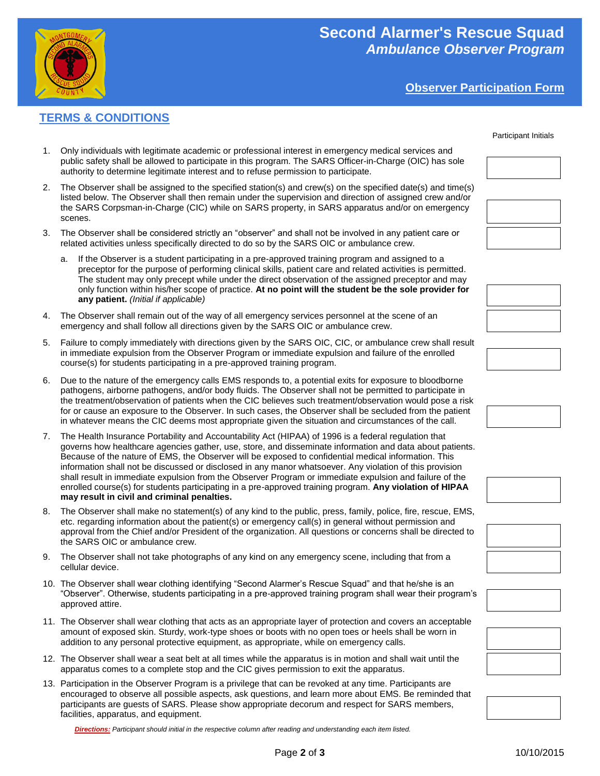# **Second Alarmer's Rescue Squad**  *Ambulance Observer Program*





#### **TERMS & CONDITIONS**

- 1. Only individuals with legitimate academic or professional interest in emergency medical services and public safety shall be allowed to participate in this program. The SARS Officer-in-Charge (OIC) has sole authority to determine legitimate interest and to refuse permission to participate.
- 2. The Observer shall be assigned to the specified station(s) and crew(s) on the specified date(s) and time(s) listed below. The Observer shall then remain under the supervision and direction of assigned crew and/or the SARS Corpsman-in-Charge (CIC) while on SARS property, in SARS apparatus and/or on emergency scenes.
- 3. The Observer shall be considered strictly an "observer" and shall not be involved in any patient care or related activities unless specifically directed to do so by the SARS OIC or ambulance crew.
	- a. If the Observer is a student participating in a pre-approved training program and assigned to a preceptor for the purpose of performing clinical skills, patient care and related activities is permitted. The student may only precept while under the direct observation of the assigned preceptor and may only function within his/her scope of practice. **At no point will the student be the sole provider for any patient.** *(Initial if applicable)*
- 4. The Observer shall remain out of the way of all emergency services personnel at the scene of an emergency and shall follow all directions given by the SARS OIC or ambulance crew.
- 5. Failure to comply immediately with directions given by the SARS OIC, CIC, or ambulance crew shall result in immediate expulsion from the Observer Program or immediate expulsion and failure of the enrolled course(s) for students participating in a pre-approved training program.
- 6. Due to the nature of the emergency calls EMS responds to, a potential exits for exposure to bloodborne pathogens, airborne pathogens, and/or body fluids. The Observer shall not be permitted to participate in the treatment/observation of patients when the CIC believes such treatment/observation would pose a risk for or cause an exposure to the Observer. In such cases, the Observer shall be secluded from the patient in whatever means the CIC deems most appropriate given the situation and circumstances of the call.
- 7. The Health Insurance Portability and Accountability Act (HIPAA) of 1996 is a federal regulation that governs how healthcare agencies gather, use, store, and disseminate information and data about patients. Because of the nature of EMS, the Observer will be exposed to confidential medical information. This information shall not be discussed or disclosed in any manor whatsoever. Any violation of this provision shall result in immediate expulsion from the Observer Program or immediate expulsion and failure of the enrolled course(s) for students participating in a pre-approved training program. **Any violation of HIPAA may result in civil and criminal penalties.**
- 8. The Observer shall make no statement(s) of any kind to the public, press, family, police, fire, rescue, EMS, etc. regarding information about the patient(s) or emergency call(s) in general without permission and approval from the Chief and/or President of the organization. All questions or concerns shall be directed to the SARS OIC or ambulance crew.
- 9. The Observer shall not take photographs of any kind on any emergency scene, including that from a cellular device.
- 10. The Observer shall wear clothing identifying "Second Alarmer's Rescue Squad" and that he/she is an "Observer". Otherwise, students participating in a pre-approved training program shall wear their program's approved attire.
- 11. The Observer shall wear clothing that acts as an appropriate layer of protection and covers an acceptable amount of exposed skin. Sturdy, work-type shoes or boots with no open toes or heels shall be worn in addition to any personal protective equipment, as appropriate, while on emergency calls.
- 12. The Observer shall wear a seat belt at all times while the apparatus is in motion and shall wait until the apparatus comes to a complete stop and the CIC gives permission to exit the apparatus.
- 13. Participation in the Observer Program is a privilege that can be revoked at any time. Participants are encouraged to observe all possible aspects, ask questions, and learn more about EMS. Be reminded that participants are guests of SARS. Please show appropriate decorum and respect for SARS members, facilities, apparatus, and equipment.

*Directions: Participant should initial in the respective column after reading and understanding each item listed.*